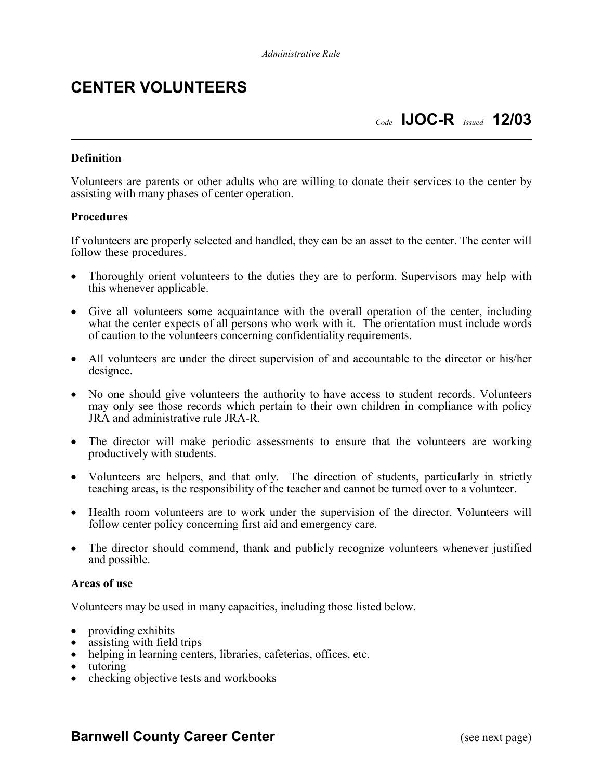## **CENTER VOLUNTEERS**

## *Code* **IJOC-R** *Issued* **12/03**

#### **Definition**

Volunteers are parents or other adults who are willing to donate their services to the center by assisting with many phases of center operation.

#### **Procedures**

If volunteers are properly selected and handled, they can be an asset to the center. The center will follow these procedures.

- Thoroughly orient volunteers to the duties they are to perform. Supervisors may help with this whenever applicable.
- Give all volunteers some acquaintance with the overall operation of the center, including what the center expects of all persons who work with it. The orientation must include words of caution to the volunteers concerning confidentiality requirements.
- All volunteers are under the direct supervision of and accountable to the director or his/her designee.
- No one should give volunteers the authority to have access to student records. Volunteers may only see those records which pertain to their own children in compliance with policy JRA and administrative rule JRA-R.
- The director will make periodic assessments to ensure that the volunteers are working productively with students.
- Volunteers are helpers, and that only. The direction of students, particularly in strictly teaching areas, is the responsibility of the teacher and cannot be turned over to a volunteer.
- Health room volunteers are to work under the supervision of the director. Volunteers will follow center policy concerning first aid and emergency care.
- The director should commend, thank and publicly recognize volunteers whenever justified and possible.

#### **Areas of use**

Volunteers may be used in many capacities, including those listed below.

- 
- 
- providing exhibits<br>
assisting with field trips<br>
helping in learning centers, libraries, cafeterias, offices, etc.<br>
tutoring<br>
checking objective tests and workbooks
- 
- 

### **Barnwell County Career Center** (see next page)